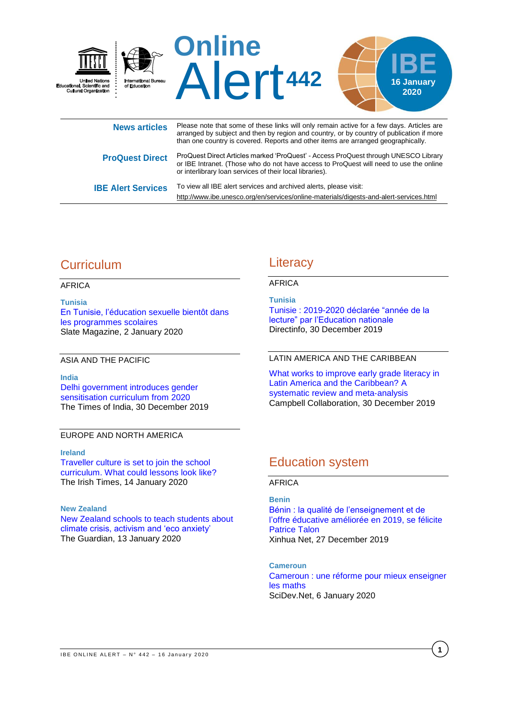

**ProQuest Direct** ProQuest Direct Articles marked 'ProQuest' - Access ProQuest through UNESCO Library or IBE Intranet. (Those who do not have access to ProQuest will need to use the online or interlibrary loan services of their local libraries). **IBE Alert Services** To view all IBE alert services and archived alerts, please visit:

# **Curriculum**

## AFRICA

**Tunisia** [En Tunisie, l'éducation sexuelle bientôt dans](http://www.slate.fr/story/185849/tunisie-education-sexuelle-bientot-programmes-scolaires)  [les programmes scolaires](http://www.slate.fr/story/185849/tunisie-education-sexuelle-bientot-programmes-scolaires) Slate Magazine, 2 January 2020

ASIA AND THE PACIFIC

### **India**

[Delhi government introduces gender](https://timesofindia.indiatimes.com/home/education/news/delhi-government-introduces-gender-sensitisation-curriculum-from-2020/articleshow/73030107.cms)  [sensitisation curriculum](https://timesofindia.indiatimes.com/home/education/news/delhi-government-introduces-gender-sensitisation-curriculum-from-2020/articleshow/73030107.cms) from 2020 The Times of India, 30 December 2019

## EUROPE AND NORTH AMERICA

## **Ireland**

Traveller [culture is set to join the school](https://www.irishtimes.com/news/education/traveller-culture-is-set-to-join-the-school-curriculum-what-could-lessons-look-like-1.4121508)  [curriculum. What could lessons look like?](https://www.irishtimes.com/news/education/traveller-culture-is-set-to-join-the-school-curriculum-what-could-lessons-look-like-1.4121508)  The Irish Times, 14 January 2020

## **New Zealand**

[New Zealand schools to teach students about](https://www.theguardian.com/world/2020/jan/13/new-zealand-schools-to-teach-students-about-climate-crisis-activism-and-eco-anxiety)  [climate crisis, activism and 'eco anxiety'](https://www.theguardian.com/world/2020/jan/13/new-zealand-schools-to-teach-students-about-climate-crisis-activism-and-eco-anxiety) The Guardian, 13 January 2020

## **Literacy**

<http://www.ibe.unesco.org/en/services/online-materials/digests-and-alert-services.html>

## AFRICA

**Tunisia**

[Tunisie : 2019-2020 déclarée "année de la](https://directinfo.webmanagercenter.com/2019/12/30/tunisie-lannee-scolaire-2019-2020-declaree-annee-de-la-lecture-par-le-ministere-de-leducation/)  [lecture" par l'Education nationale](https://directinfo.webmanagercenter.com/2019/12/30/tunisie-lannee-scolaire-2019-2020-declaree-annee-de-la-lecture-par-le-ministere-de-leducation/) Directinfo, 30 December 2019

## LATIN AMERICA AND THE CARIBBEAN

[What works to improve early grade literacy in](https://campbellcollaboration.org/better-evidence/early-grade-literacy-in-latin-america-and-the-caribbean.html)  [Latin America and the Caribbean? A](https://campbellcollaboration.org/better-evidence/early-grade-literacy-in-latin-america-and-the-caribbean.html)  [systematic review and meta](https://campbellcollaboration.org/better-evidence/early-grade-literacy-in-latin-america-and-the-caribbean.html)‐analysis Campbell Collaboration, 30 December 2019

# Education system

## AFRICA

**Benin** [Bénin : la qualité de l'enseignement et de](http://french.xinhuanet.com/afrique/2019-12/28/c_138662940.htm)  [l'offre éducative améliorée en 2019, se félicite](http://french.xinhuanet.com/afrique/2019-12/28/c_138662940.htm)  [Patrice Talon](http://french.xinhuanet.com/afrique/2019-12/28/c_138662940.htm) Xinhua Net, 27 December 2019

**Cameroun** [Cameroun : une réforme pour mieux enseigner](https://www.scidev.net/afrique-sub-saharienne/education/actualites/cameroun-reforme-enseignament-maths-06012020.html)  [les maths](https://www.scidev.net/afrique-sub-saharienne/education/actualites/cameroun-reforme-enseignament-maths-06012020.html) SciDev.Net, 6 January 2020

**1**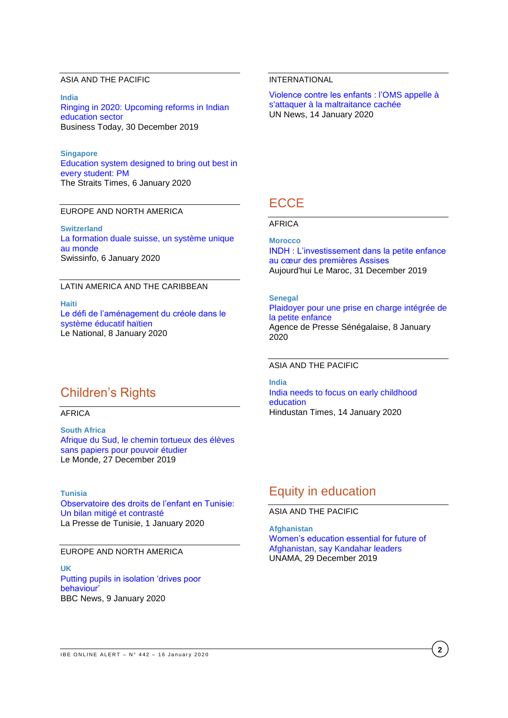## ASIA AND THE PACIFIC

**India**

[Ringing in 2020: Upcoming reforms in Indian](https://www.businesstoday.in/current/policy/indian-education-sector-upcoming-reforms-in-2020-academics-school-learning-skill-development/story/392837.html)  [education sector](https://www.businesstoday.in/current/policy/indian-education-sector-upcoming-reforms-in-2020-academics-school-learning-skill-development/story/392837.html) Business Today, 30 December 2019

#### **Singapore**

[Education system designed to bring out best in](https://www.straitstimes.com/singapore/education-system-designed-to-bring-out-best-in-every-student-pm)  [every student: PM](https://www.straitstimes.com/singapore/education-system-designed-to-bring-out-best-in-every-student-pm) The Straits Times, 6 January 2020

### EUROPE AND NORTH AMERICA

**Switzerland** [La formation duale suisse, un système unique](https://www.swissinfo.ch/fre/economie/école-et-travail_la-formation-duale-suisse--un-système-unique-au-monde/45475114)  [au monde](https://www.swissinfo.ch/fre/economie/école-et-travail_la-formation-duale-suisse--un-système-unique-au-monde/45475114) Swissinfo, 6 January 2020

## LATIN AMERICA AND THE CARIBBEAN

**Haiti** [Le défi de l'aménagement du créole dans le](http://www.lenational.org/post_free.php?elif=1_CONTENUE/societes&rebmun=3617)  [système éducatif haïtien](http://www.lenational.org/post_free.php?elif=1_CONTENUE/societes&rebmun=3617) Le National, 8 January 2020

## Children's Rights

AFRICA

**South Africa** [Afrique du Sud, le chemin tortueux des élèves](https://www.lemonde.fr/afrique/article/2019/12/27/afrique-du-sud-le-chemin-tortueux-des-eleves-sans-papiers-pour-pouvoir-etudier_6024240_3212.html)  [sans papiers pour pouvoir étudier](https://www.lemonde.fr/afrique/article/2019/12/27/afrique-du-sud-le-chemin-tortueux-des-eleves-sans-papiers-pour-pouvoir-etudier_6024240_3212.html) Le Monde, 27 December 2019

#### **Tunisia**

[Observatoire des droits de l'enfant en Tunisie:](https://lapresse.tn/42181/observatoire-des-droits-de-lenfant-en-tunisie-un-bilan-mitige-et-contraste/)  [Un bilan mitigé et contrasté](https://lapresse.tn/42181/observatoire-des-droits-de-lenfant-en-tunisie-un-bilan-mitige-et-contraste/) La Presse de Tunisie, 1 January 2020

## EUROPE AND NORTH AMERICA

**UK** [Putting pupils in isolation 'drives poor](https://www.bbc.com/news/education-51034121?intlink_from_url=https://www.bbc.com/news/topics/c40rjmqdqgxt/department-for-education&link_location=live-reporting-story)  [behaviour'](https://www.bbc.com/news/education-51034121?intlink_from_url=https://www.bbc.com/news/topics/c40rjmqdqgxt/department-for-education&link_location=live-reporting-story) BBC News, 9 January 2020

## INTERNATIONAL

[Violence contre les enfants : l'OMS appelle à](https://news.un.org/fr/story/2020/01/1059852)  [s'attaquer à la maltraitance cachée](https://news.un.org/fr/story/2020/01/1059852) UN News, 14 January 2020

## **ECCE**

AFRICA

#### **Morocco**

[INDH : L'investissement dans la petite enfance](http://aujourdhui.ma/societe/indh-linvestissement-dans-la-petite-enfance-au-coeur-des-premieres-assises)  [au cœur des premières Assises](http://aujourdhui.ma/societe/indh-linvestissement-dans-la-petite-enfance-au-coeur-des-premieres-assises) Aujourd'hui Le Maroc, 31 December 2019

#### **Senegal**

[Plaidoyer pour une prise en charge intégrée de](http://www.aps.sn/actualites/societe/sante/article/plaidoyer-pour-une-prise-en-charge-integree-de-la-petite-enfance)  [la petite enfance](http://www.aps.sn/actualites/societe/sante/article/plaidoyer-pour-une-prise-en-charge-integree-de-la-petite-enfance) Agence de Presse Sénégalaise, 8 January 2020

#### ASIA AND THE PACIFIC

**India** [India needs to focus on early childhood](https://www.hindustantimes.com/analysis/india-needs-to-focus-on-early-childhood-education/story-RtMWMNPrZ7z9qeiiIMbFaJ.html)  [education](https://www.hindustantimes.com/analysis/india-needs-to-focus-on-early-childhood-education/story-RtMWMNPrZ7z9qeiiIMbFaJ.html) Hindustan Times, 14 January 2020

## Equity in education

ASIA AND THE PACIFIC

**Afghanistan** [Women's education essential for future of](https://unama.unmissions.org/women’s-education-essential-future-afghanistan-say-kandahar-leaders)  [Afghanistan, say Kandahar leaders](https://unama.unmissions.org/women’s-education-essential-future-afghanistan-say-kandahar-leaders) UNAMA, 29 December 2019